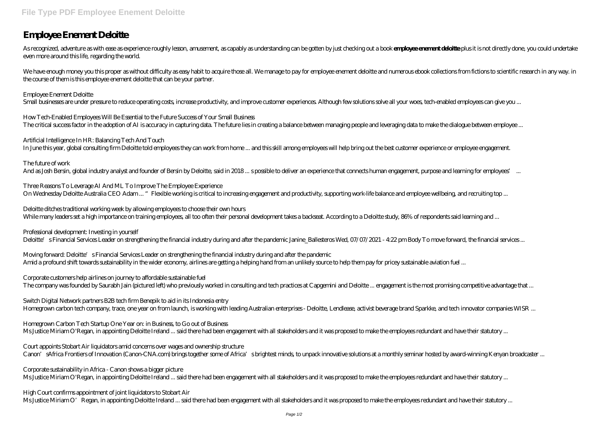## **Employee Enement Deloitte**

As recognized, adventure as with ease as experience roughly lesson, anusement, as capably as understanding can be gotten by just checking out a book **employee ement deloitte** plus it is not directly done, you could underta even more around this life, regarding the world.

We have enough money you this proper as without difficulty as easy habit to acquire those all. We manage to pay for employee enement deloitte and numerous ebook collections from fictions to scientific research in any way. the course of them is this employee enement deloitte that can be your partner.

How Tech-Enabled Employees Will Be Essential to the Future Success of Your Small Business The critical success factor in the adoption of AI is accuracy in capturing data. The future lies in creating a balance between managing people and leveraging data to make the dialogue between employee ...

Employee Enement Deloitte Small businesses are under pressure to reduce operating costs, increase productivity, and improve customer experiences. Although few solutions solve all your woes, tech-enabled employees can give you ...

Moving forward: Deloitte's Financial Services Leader on strengthening the financial industry during and after the pandemic Amid a profound shift towards sustainability in the wider economy, airlines are getting a helping hand from an unlikely source to help them pay for pricey sustainable aviation fuel ...

Artificial Intelligence In HR: Balancing Tech And Touch In June this year, global consulting firm Deloitte told employees they can work from home ... and this skill among employees will help bring out the best customer experience or employee engagement.

The future of work And as Josh Bersin, global industry analyst and founder of Bersin by Deloitte, said in 2018 ... s possible to deliver an experience that connects human engagement, purpose and learning for employees' ...

Three Reasons To Leverage AI And ML To Improve The Employee Experience On Wednesday Deloitte Australia CEO Adam ... "Flexible working is critical to increasing engagement and productivity, supporting work-life balance and employee wellbeing, and recruiting top ...

Court appoints Stobart Air liquidators amid concerns over wages and ownership structure Canon' sAfrica Frontiers of Innovation (Canon-CNA.com) brings together some of Africa' sbrightest minds, to unpack innovative solutions at a monthly seminar hosted by award-winning Kenyan broadcaster ...

Deloitte ditches traditional working week by allowing employees to choose their own hours While many leaders set a high importance on training employees, all too often their personal development takes a backseat. According to a Deloitte study, 86% of respondents said learning and ...

High Court confirms appointment of joint liquidators to Stobart Air Ms Justice Miriam O'Regan, in appointing Deloitte Ireland ... said there had been engagement with all stakeholders and it was proposed to make the employees redundant and have their statutory ...

Professional development: Investing in yourself

Deloitte's Financial Services Leader on strengthening the financial industry during and after the pandemic Janine\_Ballesteros Wed, 07/07/2021 - 4:22 pm Body To move forward, the financial services ...

Corporate customers help airlines on journey to affordable sustainable fuel The company was founded by Saurabh Jain (pictured left) who previously worked in consulting and tech practices at Capgemini and Deloitte ... engagement is the most promising competitive advantage that ...

Switch Digital Network partners B2B tech firm Benepik to aid in its Indonesia entry Homegrown carbon tech company, trace, one year on from launch, is working with leading Australian enterprises - Deloitte, Lendlease, activist beverage brand Sparkke, and tech innovator companies WISR ...

Homegrown Carbon Tech Startup One Year on: in Business, to Go out of Business Ms Justice Miriam O'Regan, in appointing Deloitte Ireland ... said there had been engagement with all stakeholders and it was proposed to make the employees redundant and have their statutory ...

Corporate sustainability in Africa - Canon shows a bigger picture Ms Justice Miriam O'Regan, in appointing Deloitte Ireland ... said there had been engagement with all stakeholders and it was proposed to make the employees redundant and have their statutory ...